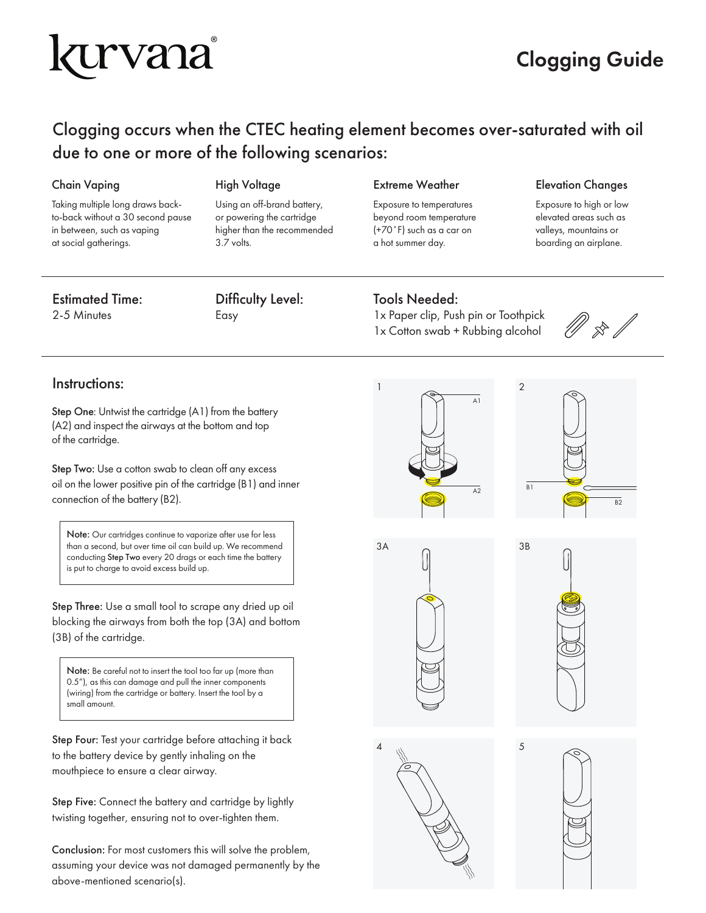# kurvana

### Clogging Guide

### Clogging occurs when the CTEC heating element becomes over-saturated with oil due to one or more of the following scenarios:

### Chain Vaping **High Voltage**

Taking multiple long draws backto-back without a 30 second pause in between, such as vaping at social gatherings.

Using an off-brand battery, or powering the cartridge higher than the recommended 3.7 volts.

### Extreme Weather

Exposure to temperatures beyond room temperature (+70˚F) such as a car on a hot summer day.

### Elevation Changes

Exposure to high or low elevated areas such as valleys, mountains or boarding an airplane.

### Estimated Time:

2-5 Minutes

Difficulty Level: Easy

### Tools Needed:

1x Paper clip, Push pin or Toothpick 1x Cotton swab + Rubbing alcohol

### Instructions:

Step One: Untwist the cartridge (A1) from the battery (A2) and inspect the airways at the bottom and top of the cartridge.

Step Two: Use a cotton swab to clean off any excess oil on the lower positive pin of the cartridge (B1) and inner connection of the battery (B2).

Note: Our cartridges continue to vaporize after use for less than a second, but over time oil can build up. We recommend conducting Step Two every 20 drags or each time the battery is put to charge to avoid excess build up.

Step Three: Use a small tool to scrape any dried up oil blocking the airways from both the top (3A) and bottom (3B) of the cartridge.

Note: Be careful not to insert the tool too far up (more than 0.5"), as this can damage and pull the inner components (wiring) from the cartridge or battery. Insert the tool by a small amount.

Step Four: Test your cartridge before attaching it back to the battery device by gently inhaling on the mouthpiece to ensure a clear airway.

Step Five: Connect the battery and cartridge by lightly twisting together, ensuring not to over-tighten them.

Conclusion: For most customers this will solve the problem, assuming your device was not damaged permanently by the above-mentioned scenario(s).









4  $\frac{1}{2}$  5